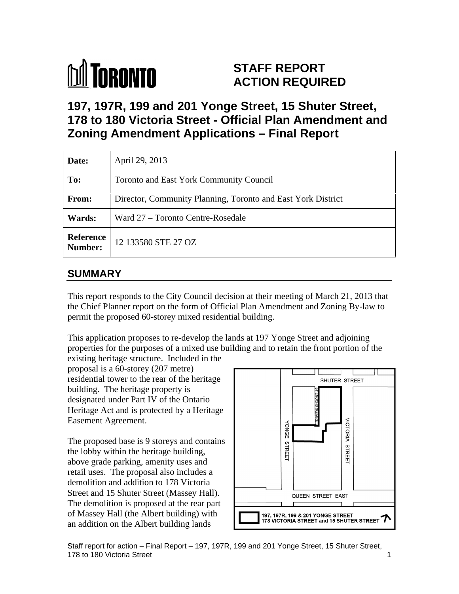

# **STAFF REPORT ACTION REQUIRED**

**197, 197R, 199 and 201 Yonge Street, 15 Shuter Street, 178 to 180 Victoria Street - Official Plan Amendment and Zoning Amendment Applications – Final Report** 

| Date:         | April 29, 2013                                               |
|---------------|--------------------------------------------------------------|
| To:           | Toronto and East York Community Council                      |
| From:         | Director, Community Planning, Toronto and East York District |
| <b>Wards:</b> | Ward 27 – Toronto Centre-Rosedale                            |
|               | <b>Reference</b> 12 133580 STE 27 OZ                         |

# **SUMMARY**

This report responds to the City Council decision at their meeting of March 21, 2013 that the Chief Planner report on the form of Official Plan Amendment and Zoning By-law to permit the proposed 60-storey mixed residential building.

This application proposes to re-develop the lands at 197 Yonge Street and adjoining properties for the purposes of a mixed use building and to retain the front portion of the existing heritage structure. Included in the

proposal is a 60-storey (207 metre) residential tower to the rear of the heritage  $\overline{\phantom{a}}$   $\overline{\phantom{a}}$  shuter street building. The heritage property is designated under Part IV of the Ontario Heritage Act and is protected by a Heritage

The proposed base is 9 storeys and contains<br>the lobby within the heritage building,<br>above grade parking amenity uses and the lobby within the heritage building, above grade parking, amenity uses and retail uses. The proposal also includes a demolition and addition to 178 Victoria Street and 15 Shuter Street (Massey Hall). The demolition is proposed at the rear part an addition on the Albert building lands



Staff report for action – Final Report – 197, 197R, 199 and 201 Yonge Street, 15 Shuter Street, 178 to 180 Victoria Street 1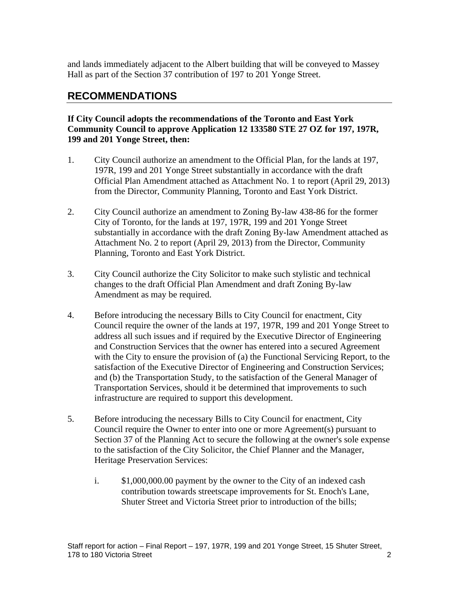and lands immediately adjacent to the Albert building that will be conveyed to Massey Hall as part of the Section 37 contribution of 197 to 201 Yonge Street.

# **RECOMMENDATIONS**

# **If City Council adopts the recommendations of the Toronto and East York Community Council to approve Application 12 133580 STE 27 OZ for 197, 197R, 199 and 201 Yonge Street, then:**

- 1. City Council authorize an amendment to the Official Plan, for the lands at 197, 197R, 199 and 201 Yonge Street substantially in accordance with the draft Official Plan Amendment attached as Attachment No. 1 to report (April 29, 2013) from the Director, Community Planning, Toronto and East York District.
- 2. City Council authorize an amendment to Zoning By-law 438-86 for the former City of Toronto, for the lands at 197, 197R, 199 and 201 Yonge Street substantially in accordance with the draft Zoning By-law Amendment attached as Attachment No. 2 to report (April 29, 2013) from the Director, Community Planning, Toronto and East York District.
- 3. City Council authorize the City Solicitor to make such stylistic and technical changes to the draft Official Plan Amendment and draft Zoning By-law Amendment as may be required.
- 4. Before introducing the necessary Bills to City Council for enactment, City Council require the owner of the lands at 197, 197R, 199 and 201 Yonge Street to address all such issues and if required by the Executive Director of Engineering and Construction Services that the owner has entered into a secured Agreement with the City to ensure the provision of (a) the Functional Servicing Report, to the satisfaction of the Executive Director of Engineering and Construction Services; and (b) the Transportation Study, to the satisfaction of the General Manager of Transportation Services, should it be determined that improvements to such infrastructure are required to support this development.
- 5. Before introducing the necessary Bills to City Council for enactment, City Council require the Owner to enter into one or more Agreement(s) pursuant to Section 37 of the Planning Act to secure the following at the owner's sole expense to the satisfaction of the City Solicitor, the Chief Planner and the Manager, Heritage Preservation Services:
	- i. \$1,000,000.00 payment by the owner to the City of an indexed cash contribution towards streetscape improvements for St. Enoch's Lane, Shuter Street and Victoria Street prior to introduction of the bills;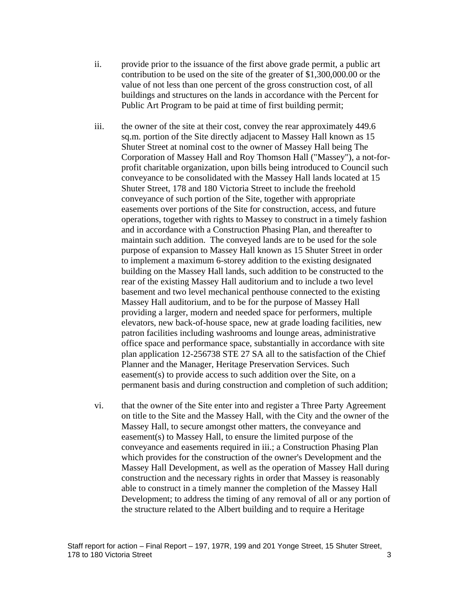- ii. provide prior to the issuance of the first above grade permit, a public art contribution to be used on the site of the greater of \$1,300,000.00 or the value of not less than one percent of the gross construction cost, of all buildings and structures on the lands in accordance with the Percent for Public Art Program to be paid at time of first building permit;
- iii. the owner of the site at their cost, convey the rear approximately 449.6 sq.m. portion of the Site directly adjacent to Massey Hall known as 15 Shuter Street at nominal cost to the owner of Massey Hall being The Corporation of Massey Hall and Roy Thomson Hall ("Massey"), a not-for profit charitable organization, upon bills being introduced to Council such conveyance to be consolidated with the Massey Hall lands located at 15 Shuter Street, 178 and 180 Victoria Street to include the freehold conveyance of such portion of the Site, together with appropriate easements over portions of the Site for construction, access, and future operations, together with rights to Massey to construct in a timely fashion and in accordance with a Construction Phasing Plan, and thereafter to maintain such addition. The conveyed lands are to be used for the sole purpose of expansion to Massey Hall known as 15 Shuter Street in order to implement a maximum 6-storey addition to the existing designated building on the Massey Hall lands, such addition to be constructed to the rear of the existing Massey Hall auditorium and to include a two level basement and two level mechanical penthouse connected to the existing Massey Hall auditorium, and to be for the purpose of Massey Hall providing a larger, modern and needed space for performers, multiple elevators, new back-of-house space, new at grade loading facilities, new patron facilities including washrooms and lounge areas, administrative office space and performance space, substantially in accordance with site plan application 12-256738 STE 27 SA all to the satisfaction of the Chief Planner and the Manager, Heritage Preservation Services. Such easement(s) to provide access to such addition over the Site, on a permanent basis and during construction and completion of such addition;
- vi. that the owner of the Site enter into and register a Three Party Agreement on title to the Site and the Massey Hall, with the City and the owner of the Massey Hall, to secure amongst other matters, the conveyance and easement(s) to Massey Hall, to ensure the limited purpose of the conveyance and easements required in iii.; a Construction Phasing Plan which provides for the construction of the owner's Development and the Massey Hall Development, as well as the operation of Massey Hall during construction and the necessary rights in order that Massey is reasonably able to construct in a timely manner the completion of the Massey Hall Development; to address the timing of any removal of all or any portion of the structure related to the Albert building and to require a Heritage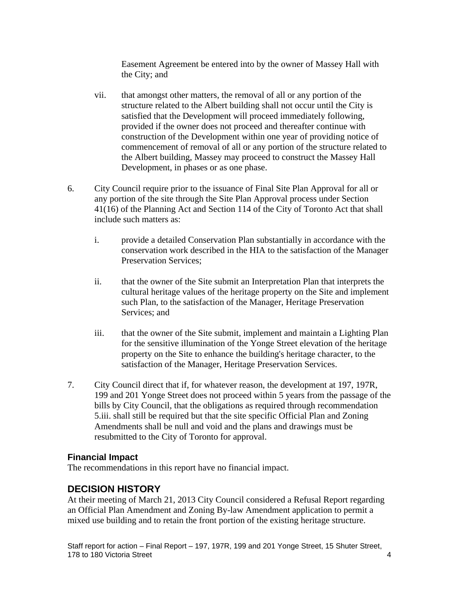Easement Agreement be entered into by the owner of Massey Hall with the City; and

- vii. that amongst other matters, the removal of all or any portion of the structure related to the Albert building shall not occur until the City is satisfied that the Development will proceed immediately following, provided if the owner does not proceed and thereafter continue with construction of the Development within one year of providing notice of commencement of removal of all or any portion of the structure related to the Albert building, Massey may proceed to construct the Massey Hall Development, in phases or as one phase.
- 6. City Council require prior to the issuance of Final Site Plan Approval for all or any portion of the site through the Site Plan Approval process under Section 41(16) of the Planning Act and Section 114 of the City of Toronto Act that shall include such matters as:
	- i. provide a detailed Conservation Plan substantially in accordance with the conservation work described in the HIA to the satisfaction of the Manager Preservation Services;
	- ii. that the owner of the Site submit an Interpretation Plan that interprets the cultural heritage values of the heritage property on the Site and implement such Plan, to the satisfaction of the Manager, Heritage Preservation Services; and services and services and services and services and services and services and services and services and services and services are  $\mathbb{R}^n$
	- iii. that the owner of the Site submit, implement and maintain a Lighting Plan for the sensitive illumination of the Yonge Street elevation of the heritage property on the Site to enhance the building's heritage character, to the satisfaction of the Manager, Heritage Preservation Services.
- 7. City Council direct that if, for whatever reason, the development at 197, 197R, 199 and 201 Yonge Street does not proceed within 5 years from the passage of the bills by City Council, that the obligations as required through recommendation 5.iii. shall still be required but that the site specific Official Plan and Zoning Amendments shall be null and void and the plans and drawings must be resubmitted to the City of Toronto for approval.

# **Financial Impact**

The recommendations in this report have no financial impact.

# **DECISION HISTORY**

At their meeting of March 21, 2013 City Council considered a Refusal Report regarding an Official Plan Amendment and Zoning By-law Amendment application to permit a mixed use building and to retain the front portion of the existing heritage structure.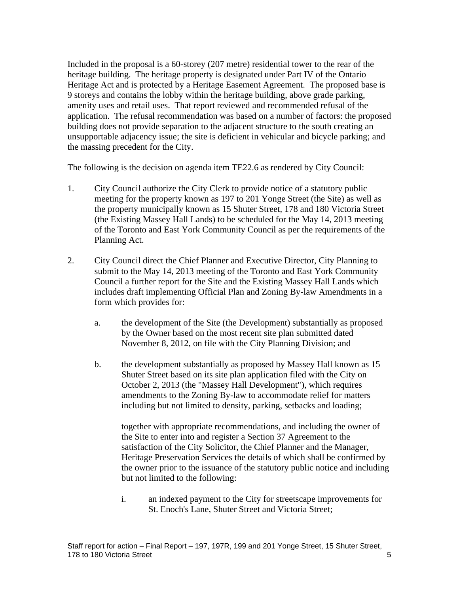Included in the proposal is a 60-storey (207 metre) residential tower to the rear of the heritage building. The heritage property is designated under Part IV of the Ontario Heritage Act and is protected by a Heritage Easement Agreement. The proposed base is <sup>9</sup> storeys and contains the lobby within the heritage building, above grade parking, amenity uses and retail uses. That report reviewed and recommended refusal of the application. The refusal recommendation was based on a number of factors: the proposed building does not provide separation to the adjacent structure to the south creating an unsupportable adjacency issue; the site is deficient in vehicular and bicycle parking; and the massing precedent for the City.

The following is the decision on agenda item TE22.6 as rendered by City Council:

- 1. City Council authorize the City Clerk to provide notice of a statutory public meeting for the property known as 197 to 201 Yonge Street (the Site) as well as the property municipally known as 15 Shuter Street, 178 and 180 Victoria Street (the Existing Massey Hall Lands) to be scheduled for the May 14, 2013 meeting of the Toronto and East York Community Council as per the requirements of the Planning Act.
- 2. City Council direct the Chief Planner and Executive Director, City Planning to submit to the May 14, 2013 meeting of the Toronto and East York Community Council a further report for the Site and the Existing Massey Hall Lands which includes draft implementing Official Plan and Zoning By-law Amendments in a form which provides for:
	- a. the development of the Site (the Development) substantially as proposed by the Owner based on the most recent site plan submitted dated November 8, 2012, on file with the City Planning Division; and
	- b. the development substantially as proposed by Massey Hall known as 15 Shuter Street based on its site plan application filed with the City on October 2, 2013 (the "Massey Hall Development"), which requires amendments to the Zoning By-law to accommodate relief for matters including but not limited to density, parking, setbacks and loading;

together with appropriate recommendations, and including the owner of the Site to enter into and register a Section 37 Agreement to the satisfaction of the City Solicitor, the Chief Planner and the Manager, Heritage Preservation Services the details of which shall be confirmed by the owner prior to the issuance of the statutory public notice and including but not limited to the following:

i. an indexed payment to the City for streetscape improvements for St. Enoch's Lane, Shuter Street and Victoria Street;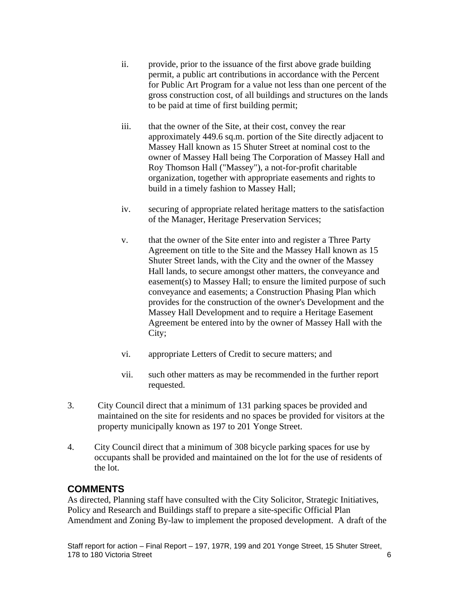- ii. provide, prior to the issuance of the first above grade building permit, a public art contributions in accordance with the Percent for Public Art Program for a value not less than one percent of the gross construction cost, of all buildings and structures on the lands to be paid at time of first building permit;
- iii. that the owner of the Site, at their cost, convey the rear approximately 449.6 sq.m. portion of the Site directly adjacent to Massey Hall known as 15 Shuter Street at nominal cost to the owner of Massey Hall being The Corporation of Massey Hall and Roy Thomson Hall ("Massey"), a not-for-profit charitable organization, together with appropriate easements and rights to build in a timely fashion to Massey Hall;
- iv. securing of appropriate related heritage matters to the satisfaction of the Manager, Heritage Preservation Services;
- v. that the owner of the Site enter into and register a Three Party Agreement on title to the Site and the Massey Hall known as 15 Shuter Street lands, with the City and the owner of the Massey Hall lands, to secure amongst other matters, the conveyance and easement(s) to Massey Hall; to ensure the limited purpose of such conveyance and easements; a Construction Phasing Plan which provides for the construction of the owner's Development and the Massey Hall Development and to require a Heritage Easement Agreement be entered into by the owner of Massey Hall with the City;
- vi. appropriate Letters of Credit to secure matters; and
- vii. such other matters as may be recommended in the further report requested.
- 3. City Council direct that a minimum of 131 parking spaces be provided and maintained on the site for residents and no spaces be provided for visitors at the property municipally known as 197 to 201 Yonge Street.
- 4. City Council direct that a minimum of 308 bicycle parking spaces for use by occupants shall be provided and maintained on the lot for the use of residents of the lot.

# **COMMENTS**

As directed, Planning staff have consulted with the City Solicitor, Strategic Initiatives, Policy and Research and Buildings staff to prepare a site-specific Official Plan Amendment and Zoning By-law to implement the proposed development. A draft of the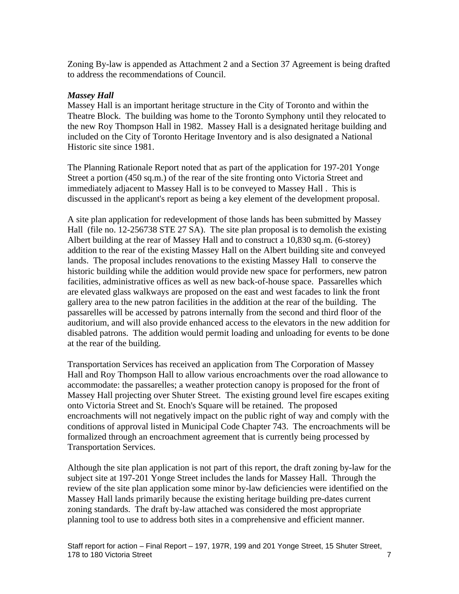Zoning By-law is appended as Attachment 2 and a Section 37 Agreement is being drafted to address the recommendations of Council.

# *Massey Hall*

Massey Hall is an important heritage structure in the City of Toronto and within the Theatre Block. The building was home to the Toronto Symphony until they relocated to the new Roy Thompson Hall in 1982. Massey Hall is a designated heritage building and included on the City of Toronto Heritage Inventory and is also designated a National Historic site since 1981.

The Planning Rationale Report noted that as part of the application for 197-201 Yonge Street a portion (450 sq.m.) of the rear of the site fronting onto Victoria Street and immediately adjacent to Massey Hall is to be conveyed to Massey Hall . This is discussed in the applicant's report as being a key element of the development proposal.

A site plan application for redevelopment of those lands has been submitted by Massey Hall (file no. 12-256738 STE 27 SA). The site plan proposal is to demolish the existing Albert building at the rear of Massey Hall and to construct a 10,830 sq.m. (6-storey) addition to the rear of the existing Massey Hall on the Albert building site and conveyed lands. The proposal includes renovations to the existing Massey Hall to conserve the historic building while the addition would provide new space for performers, new patron facilities, administrative offices as well as new back-of-house space. Passarelles which are elevated glass walkways are proposed on the east and west facades to link the front gallery area to the new patron facilities in the addition at the rear of the building. The passarelles will be accessed by patrons internally from the second and third floor of the auditorium, and will also provide enhanced access to the elevators in the new addition for disabled patrons. The addition would permit loading and unloading for events to be done at the rear of the building.

Transportation Services has received an application from The Corporation of Massey Hall and Roy Thompson Hall to allow various encroachments over the road allowance to accommodate: the passarelles; a weather protection canopy is proposed for the front of Massey Hall projecting over Shuter Street. The existing ground level fire escapes exiting onto Victoria Street and St. Enoch's Square will be retained. The proposed encroachments will not negatively impact on the public right of way and comply with the conditions of approval listed in Municipal Code Chapter 743. The encroachments will be formalized through an encroachment agreement that is currently being processed by Transportation Services.

Although the site plan application is not part of this report, the draft zoning by-law for the subject site at 197-201 Yonge Street includes the lands for Massey Hall. Through the review of the site plan application some minor by-law deficiencies were identified on the Massey Hall lands primarily because the existing heritage building pre-dates current zoning standards. The draft by-law attached was considered the most appropriate planning tool to use to address both sites in a comprehensive and efficient manner.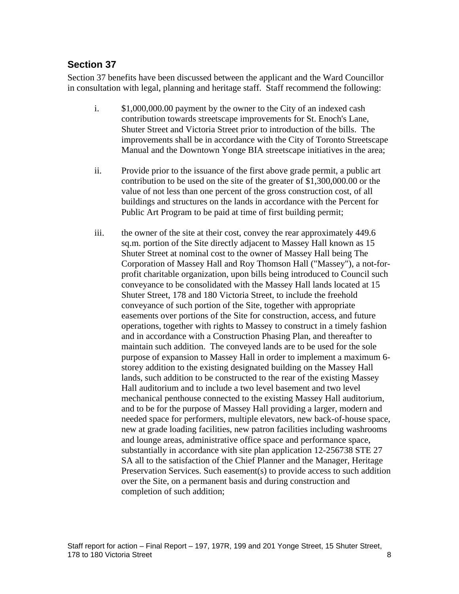# **Section 37**

Section 37 benefits have been discussed between the applicant and the Ward Councillor in consultation with legal, planning and heritage staff. Staff recommend the following:

- i. \$1,000,000.00 payment by the owner to the City of an indexed cash contribution towards streetscape improvements for St. Enoch's Lane, Shuter Street and Victoria Street prior to introduction of the bills. The improvements shall be in accordance with the City of Toronto Streetscape Manual and the Downtown Yonge BIA streetscape initiatives in the area;
- ii. Provide prior to the issuance of the first above grade permit, a public art contribution to be used on the site of the greater of \$1,300,000.00 or the value of not less than one percent of the gross construction cost, of all buildings and structures on the lands in accordance with the Percent for Public Art Program to be paid at time of first building permit;
- iii. the owner of the site at their cost, convey the rear approximately 449.6 sq.m. portion of the Site directly adjacent to Massey Hall known as 15 Shuter Street at nominal cost to the owner of Massey Hall being The Corporation of Massey Hall and Roy Thomson Hall ("Massey"), a not-for profit charitable organization, upon bills being introduced to Council such conveyance to be consolidated with the Massey Hall lands located at 15 Shuter Street, 178 and 180 Victoria Street, to include the freehold conveyance of such portion of the Site, together with appropriate easements over portions of the Site for construction, access, and future operations, together with rights to Massey to construct in a timely fashion and in accordance with a Construction Phasing Plan, and thereafter to maintain such addition. The conveyed lands are to be used for the sole purpose of expansion to Massey Hall in order to implement a maximum 6 storey addition to the existing designated building on the Massey Hall lands, such addition to be constructed to the rear of the existing Massey Hall auditorium and to include a two level basement and two level mechanical penthouse connected to the existing Massey Hall auditorium, and to be for the purpose of Massey Hall providing a larger, modern and needed space for performers, multiple elevators, new back-of-house space, new at grade loading facilities, new patron facilities including washrooms and lounge areas, administrative office space and performance space, substantially in accordance with site plan application 12-256738 STE 27 SA all to the satisfaction of the Chief Planner and the Manager, Heritage Preservation Services. Such easement(s) to provide access to such addition over the Site, on a permanent basis and during construction and completion of such addition;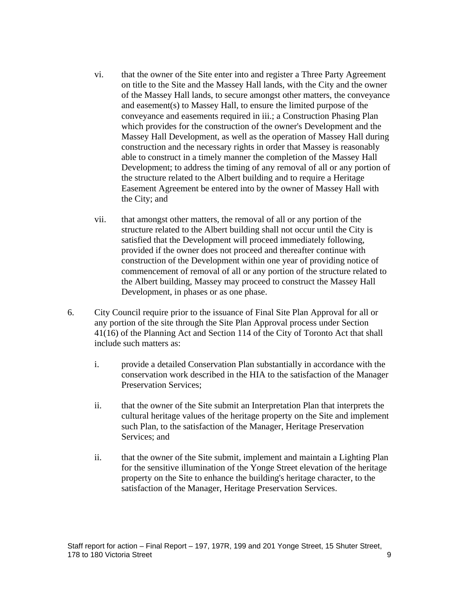- vi. that the owner of the Site enter into and register a Three Party Agreement on title to the Site and the Massey Hall lands, with the City and the owner of the Massey Hall lands, to secure amongst other matters, the conveyance and easement(s) to Massey Hall, to ensure the limited purpose of the conveyance and easements required in iii.; a Construction Phasing Plan which provides for the construction of the owner's Development and the Massey Hall Development, as well as the operation of Massey Hall during construction and the necessary rights in order that Massey is reasonably able to construct in a timely manner the completion of the Massey Hall Development; to address the timing of any removal of all or any portion of the structure related to the Albert building and to require a Heritage Easement Agreement be entered into by the owner of Massey Hall with the City; and
- vii. that amongst other matters, the removal of all or any portion of the structure related to the Albert building shall not occur until the City is satisfied that the Development will proceed immediately following, provided if the owner does not proceed and thereafter continue with construction of the Development within one year of providing notice of commencement of removal of all or any portion of the structure related to the Albert building, Massey may proceed to construct the Massey Hall Development, in phases or as one phase.
- 6. City Council require prior to the issuance of Final Site Plan Approval for all or any portion of the site through the Site Plan Approval process under Section 41(16) of the Planning Act and Section 114 of the City of Toronto Act that shall include such matters as:
	- i. provide a detailed Conservation Plan substantially in accordance with the conservation work described in the HIA to the satisfaction of the Manager Preservation Services;
	- ii. that the owner of the Site submit an Interpretation Plan that interprets the cultural heritage values of the heritage property on the Site and implement such Plan, to the satisfaction of the Manager, Heritage Preservation Services; and Services; and Services; and Services; and Services; and Services; and Services; and Services; and Services; and Services; and Services; and Services; and Services; and Services; and Services; and Services; an
	- ii. that the owner of the Site submit, implement and maintain a Lighting Plan for the sensitive illumination of the Yonge Street elevation of the heritage property on the Site to enhance the building's heritage character, to the satisfaction of the Manager, Heritage Preservation Services.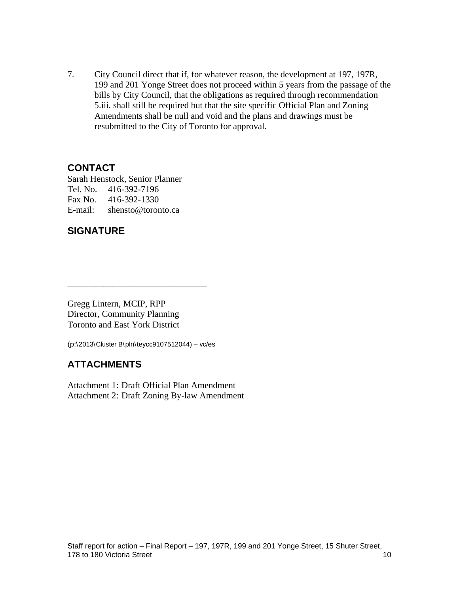7. City Council direct that if, for whatever reason, the development at 197, 197R, 199 and 201 Yonge Street does not proceed within 5 years from the passage of the bills by City Council, that the obligations as required through recommendation 5.iii. shall still be required but that the site specific Official Plan and Zoning Amendments shall be null and void and the plans and drawings must be resubmitted to the City of Toronto for approval.

# **CONTACT**

Sarah Henstock, Senior Planner Tel. No. 416-392-7196 Fax No. 416-392-1330 E-mail: shensto@toronto.ca

# **SIGNATURE**

Gregg Lintern, MCIP, RPP Director, Community Planning Toronto and East York District

(p:\2013\Cluster B\pln\teycc9107512044) – vc/es

# **ATTACHMENTS**

Attachment 1: Draft Official Plan Amendment Attachment 2: Draft Zoning By-law Amendment

 $\overline{\phantom{a}}$  , we can assume that the contract of  $\overline{\phantom{a}}$  , we can assume that the contract of  $\overline{\phantom{a}}$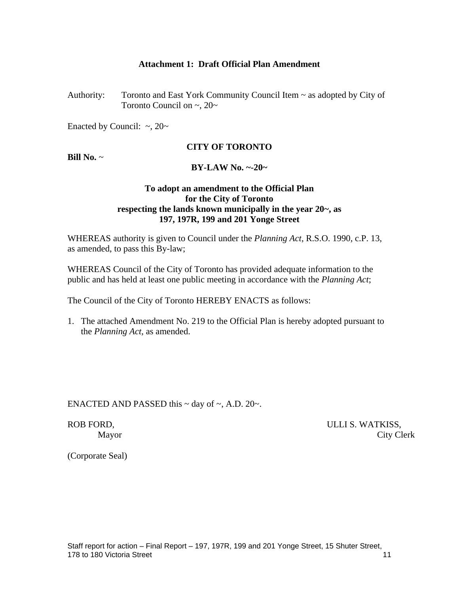### **Attachment 1: Draft Official Plan Amendment**

Authority: Toronto and East York Community Council Item ~ as adopted by City of Toronto Council on  $\sim$ , 20 $\sim$ 

Enacted by Council:  $\sim$ , 20 $\sim$ 

#### **CITY OF TORONTO**

#### **Bill No.** ~ **BY-LAW No. ~-20~**

# **To adopt an amendment to the Official Plan for the City of Toronto respecting the lands known municipally in the year 20~, as 197, 197R, 199 and 201 Yonge Street**

WHEREAS authority is given to Council under the *Planning Act*, R.S.O. 1990, c.P. 13, as amended, to pass this By-law;

WHEREAS Council of the City of Toronto has provided adequate information to the public and has held at least one public meeting in accordance with the *Planning Act*;

The Council of the City of Toronto HEREBY ENACTS as follows:

1. The attached Amendment No. 219 to the Official Plan is hereby adopted pursuant to the *Planning Act,* as amended.

ENACTED AND PASSED this  $\sim$  day of  $\sim$ , A.D. 20 $\sim$ .

ROB FORD,  $ULLI S. WATKISS,$ Mayor City Clerk

(Corporate Seal)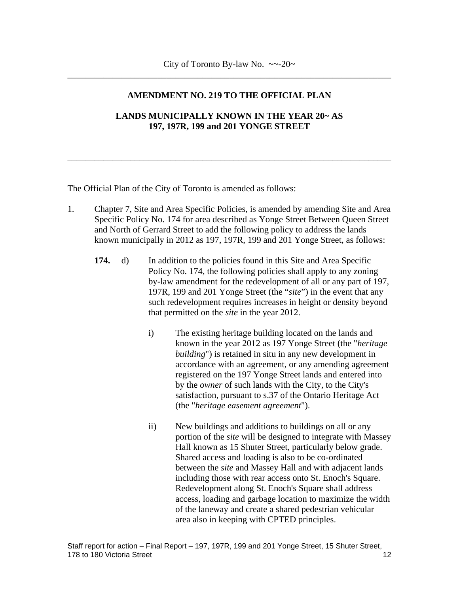\_\_\_\_\_\_\_\_\_\_\_\_\_\_\_\_\_\_\_\_\_\_\_\_\_\_\_\_\_\_\_\_\_\_\_\_\_\_\_\_\_\_\_\_\_\_\_\_\_\_\_\_\_\_\_\_\_\_\_\_\_\_\_\_\_\_\_\_\_\_\_\_

\_\_\_\_\_\_\_\_\_\_\_\_\_\_\_\_\_\_\_\_\_\_\_\_\_\_\_\_\_\_\_\_\_\_\_\_\_\_\_\_\_\_\_\_\_\_\_\_\_\_\_\_\_\_\_\_\_\_\_\_\_\_\_\_\_\_\_\_\_\_\_\_

# **AMENDMENT NO. 219 TO THE OFFICIAL PLAN**

# **LANDS MUNICIPALLY KNOWN IN THE YEAR 20~ AS 197, 197R, 199 and 201 YONGE STREET**

The Official Plan of the City of Toronto is amended as follows:

- 1. Chapter 7, Site and Area Specific Policies, is amended by amending Site and Area Specific Policy No. 174 for area described as Yonge Street Between Queen Street and North of Gerrard Street to add the following policy to address the lands known municipally in 2012 as 197, 197R, 199 and 201 Yonge Street, as follows:
	- **174.** d) In addition to the policies found in this Site and Area Specific Policy No. 174, the following policies shall apply to any zoning by-law amendment for the redevelopment of all or any part of 197, 197R, 199 and 201 Yonge Street (the "*site*") in the event that any such redevelopment requires increases in height or density beyond that permitted on the *site* in the year 2012.
		- i) The existing heritage building located on the lands and known in the year 2012 as 197 Yonge Street (the "*heritage building*") is retained in situ in any new development in accordance with an agreement, or any amending agreement registered on the 197 Yonge Street lands and entered into by the *owner* of such lands with the City, to the City's satisfaction, pursuant to s.37 of the Ontario Heritage Act (the "*heritage easement agreement*").
		- ii) New buildings and additions to buildings on all or any portion of the *site* will be designed to integrate with Massey Hall known as 15 Shuter Street, particularly below grade. Shared access and loading is also to be co-ordinated between the *site* and Massey Hall and with adjacent lands including those with rear access onto St. Enoch's Square. Redevelopment along St. Enoch's Square shall address access, loading and garbage location to maximize the width of the laneway and create a shared pedestrian vehicular area also in keeping with CPTED principles.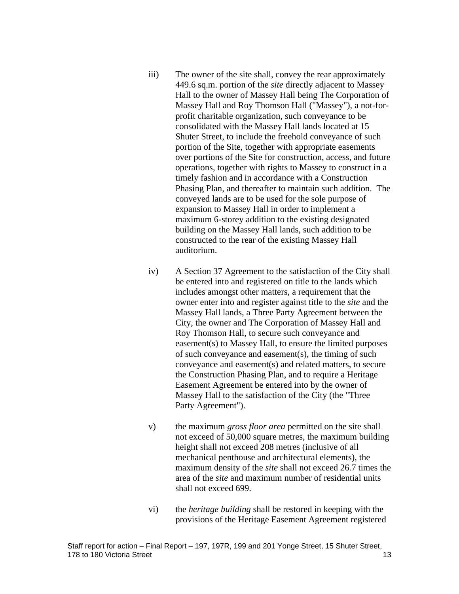- iii) The owner of the site shall, convey the rear approximately 449.6 sq.m. portion of the *site* directly adjacent to Massey Hall to the owner of Massey Hall being The Corporation of Massey Hall and Roy Thomson Hall ("Massey"), a not-for profit charitable organization*,* such conveyance to be consolidated with the Massey Hall lands located at 15 Shuter Street, to include the freehold conveyance of such portion of the Site, together with appropriate easements over portions of the Site for construction, access, and future operations, together with rights to Massey to construct in a timely fashion and in accordance with a Construction Phasing Plan, and thereafter to maintain such addition. The conveyed lands are to be used for the sole purpose of expansion to Massey Hall in order to implement a maximum 6-storey addition to the existing designated building on the Massey Hall lands, such addition to be constructed to the rear of the existing Massey Hall auditorium.
- iv) A Section 37 Agreement to the satisfaction of the City shall be entered into and registered on title to the lands which includes amongst other matters, a requirement that the owner enter into and register against title to the *site* and the Massey Hall lands, a Three Party Agreement between the City, the owner and The Corporation of Massey Hall and Roy Thomson Hall, to secure such conveyance and easement(s) to Massey Hall, to ensure the limited purposes of such conveyance and easement(s), the timing of such conveyance and easement(s) and related matters, to secure the Construction Phasing Plan, and to require a Heritage Easement Agreement be entered into by the owner of Massey Hall to the satisfaction of the City (the "Three Party Agreement").
- v) the maximum *gross floor area* permitted on the site shall not exceed of 50,000 square metres, the maximum building height shall not exceed 208 metres (inclusive of all mechanical penthouse and architectural elements), the maximum density of the *site* shall not exceed 26.7 times the area of the *site* and maximum number of residential units shall not exceed 699.
- vi) the *heritage building* shall be restored in keeping with the provisions of the Heritage Easement Agreement registered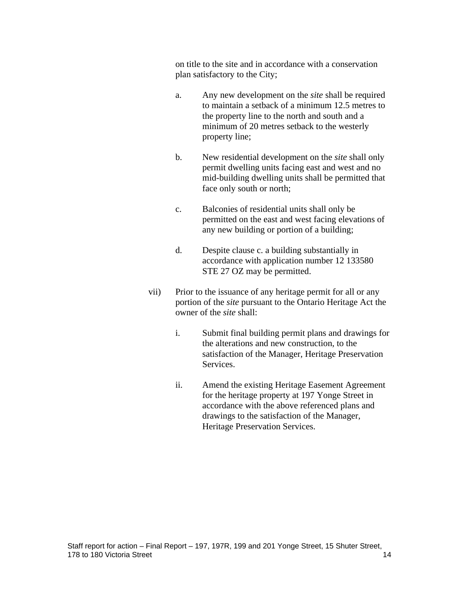on title to the site and in accordance with a conservation plan satisfactory to the City;

- a. Any new development on the *site* shall be required to maintain a setback of a minimum 12.5 metres to the property line to the north and south and a minimum of 20 metres setback to the westerly property line;
- b. New residential development on the *site* shall only permit dwelling units facing east and west and no mid-building dwelling units shall be permitted that face only south or north;
- c. Balconies of residential units shall only be permitted on the east and west facing elevations of any new building or portion of a building;
- d. Despite clause c. a building substantially in accordance with application number 12 133580 STE 27 OZ may be permitted.
- vii) Prior to the issuance of any heritage permit for all or any portion of the *site* pursuant to the Ontario Heritage Act the owner of the *site* shall:
	- i. Submit final building permit plans and drawings for the alterations and new construction, to the satisfaction of the Manager, Heritage Preservation Services.
	- ii. Amend the existing Heritage Easement Agreement for the heritage property at 197 Yonge Street in accordance with the above referenced plans and drawings to the satisfaction of the Manager, Heritage Preservation Services.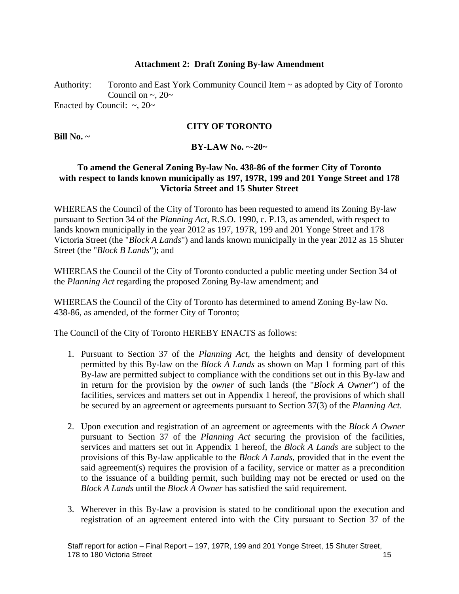## **Attachment 2: Draft Zoning By-law Amendment**

Authority: Toronto and East York Community Council Item ~ as adopted by City of Toronto Council on  $\sim$ , 20 $\sim$ Enacted by Council:  $\sim$ , 20 $\sim$ 

**CITY OF TORONTO**

**Bill No. ~**

# **BY-LAW No. ~-20~**

# **To amend the General Zoning By-law No. 438-86 of the former City of Toronto with respect to lands known municipally as 197, 197R, 199 and 201 Yonge Street and 178 Victoria Street and 15 Shuter Street**

WHEREAS the Council of the City of Toronto has been requested to amend its Zoning By-law pursuant to Section 34 of the *Planning Act*, R.S.O. 1990, c. P.13, as amended, with respect to lands known municipally in the year 2012 as 197, 197R, 199 and 201 Yonge Street and 178 Victoria Street (the "*Block A Lands*") and lands known municipally in the year 2012 as 15 Shuter Street (the "*Block B Lands*"); and

WHEREAS the Council of the City of Toronto conducted a public meeting under Section 34 of the *Planning Act* regarding the proposed Zoning By-law amendment; and

WHEREAS the Council of the City of Toronto has determined to amend Zoning By-law No. 438-86, as amended, of the former City of Toronto;

The Council of the City of Toronto HEREBY ENACTS as follows:

- 1. Pursuant to Section 37 of the *Planning Act*, the heights and density of development permitted by this By-law on the *Block A Lands* as shown on Map 1 forming part of this By-law are permitted subject to compliance with the conditions set out in this By-law and in return for the provision by the *owner* of such lands (the "*Block A Owner*") of the facilities, services and matters set out in Appendix 1 hereof, the provisions of which shall be secured by an agreement or agreements pursuant to Section 37(3) of the *Planning Act*.
- 2. Upon execution and registration of an agreement or agreements with the *Block A Owner* pursuant to Section 37 of the *Planning Act* securing the provision of the facilities, services and matters set out in Appendix 1 hereof, the *Block A Lands* are subject to the provisions of this By-law applicable to the *Block A Lands*, provided that in the event the said agreement(s) requires the provision of a facility, service or matter as a precondition to the issuance of a building permit, such building may not be erected or used on the *Block A Lands* until the *Block A Owner* has satisfied the said requirement.
- 3. Wherever in this By-law a provision is stated to be conditional upon the execution and registration of an agreement entered into with the City pursuant to Section 37 of the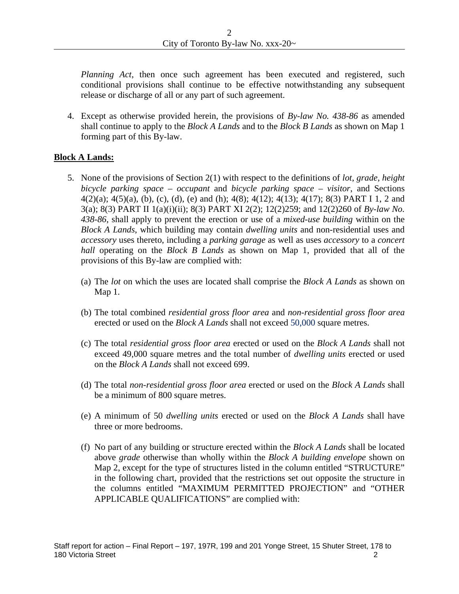*Planning Act*, then once such agreement has been executed and registered, such conditional provisions shall continue to be effective notwithstanding any subsequent release or discharge of all or any part of such agreement.

4. Except as otherwise provided herein, the provisions of *By-law No.438-86* as amended shall continue to apply to the *Block A Lands* and to the *Block B Lands* as shown on Map 1 forming part of this By-law.

## **Block A Lands:**

- 5. None of the provisions of Section 2(1) with respect to the definitions of *lot*, *grade*, *height bicycle parking space – occupant* and *bicycle parking space – visitor*, and Sections 4(2)(a); 4(5)(a), (b), (c), (d), (e) and (h); 4(8); 4(12); 4(13); 4(17); 8(3) PART I 1, 2 and 3(a); 8(3) PART II 1(a)(i)(ii); 8(3) PART XI 2(2); 12(2)259; and 12(2)260 of *By-law No. 438-86*, shall apply to prevent the erection or use of a *mixed-use building* within on the *Block A Lands*, which building may contain *dwelling units* and non-residential uses and *accessory* uses thereto, including a *parking garage* as well as uses *accessory* to a *concert hall* operating on the *Block B Lands* as shown on Map 1, provided that all of the provisions of this By-law are complied with:
	- (a) The *lot* on which the uses are located shall comprise the *Block A Lands* as shown on Map 1.
	- (b) The total combined *residential gross floor area* and *non-residential gross floor area* erected or used on the *Block A Lands* shall not exceed 50,000 square metres.
	- (c) The total *residential gross floor area* erected or used on the *Block A Lands* shall not exceed 49,000 square metres and the total number of *dwelling units* erected or used on the *Block A Lands* shall not exceed 699.
	- (d) The total *non-residential gross floor area* erected or used on the *Block A Lands* shall
	- be a minimum of 800 square metres. (e) <sup>A</sup> minimum of <sup>50</sup> *dwelling units* erected or used on the *Block <sup>A</sup> Lands* shall have three or more bedrooms.
	- (f) No part of any building or structure erected within the *Block A Lands* shall be located above *grade* otherwise than wholly within the *Block A building envelope* shown on Map 2, except for the type of structures listed in the column entitled "STRUCTURE" in the following chart, provided that the restrictions set out opposite the structure in the columns entitled "MAXIMUM PERMITTED PROJECTION" and "OTHER APPLICABLE QUALIFICATIONS" are complied with: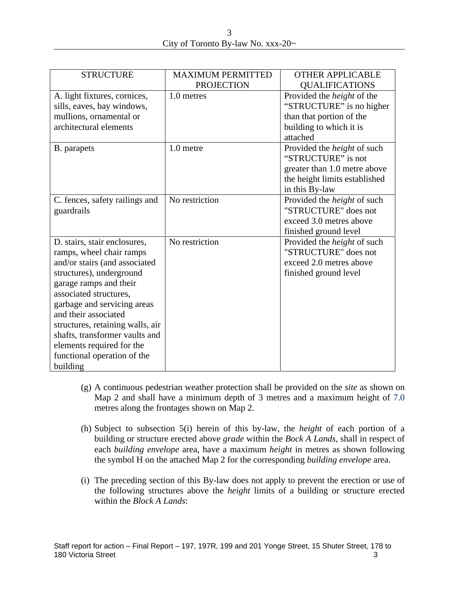| STRUCTURE                        | <b>MAXIMUM PERMITTED</b><br>PROJECTION | <b>OTHER APPLICABLE</b><br>QUALIFICATIONS                     |
|----------------------------------|----------------------------------------|---------------------------------------------------------------|
| A. light fixtures, cornices,     | 1.0 metres                             | Provided the <i>height</i> of the                             |
| sills, eaves, bay windows,       |                                        | "STRUCTURE" is no higher                                      |
| mullions, ornamental or          |                                        | than that portion of the                                      |
| architectural elements           |                                        | building to which it is                                       |
|                                  |                                        | attached                                                      |
| <b>B.</b> parapets               | 1.0 metre                              | Provided the <i>height</i> of such<br>"STRUCTURE" is not      |
|                                  |                                        |                                                               |
|                                  |                                        | greater than 1.0 metre above<br>the height limits established |
|                                  |                                        | in this By-law                                                |
| C. fences, safety railings and   | No restriction                         | Provided the <i>height</i> of such                            |
| guardrails                       |                                        | "STRUCTURE" does not                                          |
|                                  |                                        | exceed 3.0 metres above                                       |
|                                  |                                        | finished ground level                                         |
| D. stairs, stair enclosures,     | No restriction                         | Provided the <i>height</i> of such                            |
| ramps, wheel chair ramps         |                                        | "STRUCTURE" does not                                          |
| and/or stairs (and associated    |                                        | exceed 2.0 metres above                                       |
| structures), underground         |                                        | finished ground level                                         |
| garage ramps and their           |                                        |                                                               |
| associated structures,           |                                        |                                                               |
| garbage and servicing areas      |                                        |                                                               |
| and their associated             |                                        |                                                               |
| structures, retaining walls, air |                                        |                                                               |
| shafts, transformer vaults and   |                                        |                                                               |
| elements required for the        |                                        |                                                               |
| functional operation of the      |                                        |                                                               |
| building                         |                                        |                                                               |

- (g) A continuous pedestrian weather protection shall be provided on the *site* as shown on Map 2 and shall have a minimum depth of 3 metres and a maximum height of 7.0 metres along the frontages shown on Map 2.
- (h) Subject to subsection 5(i) herein of this by-law, the *height* of each portion of a building or structure erected above *grade* within the *Bock A Lands*, shall in respect of each *building envelope* area, have a maximum *height* in metres as shown following the symbol H on the attached Map 2 for the corresponding *building envelope* area.
- (i) The preceding section of this By-law does not apply to prevent the erection or use of the following structures above the *height* limits of a building or structure erected within the *Block A Lands*: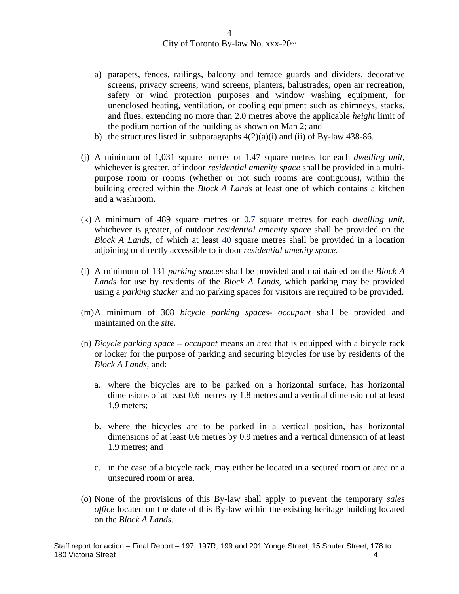- a) parapets, fences, railings, balcony and terrace guards and dividers, decorative screens, privacy screens, wind screens, planters, balustrades, open air recreation, safety or wind protection purposes and window washing equipment, for unenclosed heating, ventilation, or cooling equipment such as chimneys, stacks, and flues, extending no more than 2.0 metres above the applicable *height* limit of the podium portion of the building as shown on Map 2; and
- b) the structures listed in subparagraphs  $4(2)(a)(i)$  and (ii) of By-law 438-86.
- (j) <sup>A</sup> minimum of 1,031 square metres or 1.47 square metres for each *dwelling unit*, whichever is greater, of indoor *residential amenity space* shall be provided in a multi purpose room or rooms (whether or not such rooms are contiguous), within the building erected within the *Block A Lands* at least one of which contains a kitchen and a washroom.
- (k) <sup>A</sup> minimum of <sup>489</sup> square metres or 0.7 square metres for each *dwelling unit*, whichever is greater, of outdoor *residential amenity space* shall be provided on the *Block A Lands*, of which at least 40 square metres shall be provided in a location adjoining or directly accessible to indoor *residential amenity space.*
- (l) A minimum of 131 *parking spaces* shall be provided and maintained on the *Block A Lands* for use by residents of the *BlockA Lands*, which parking may be provided
- using a *parking stacker* and no parking spaces for visitors are required to be provided. (m)A minimum of <sup>308</sup> *bicycle parking spaces- occupant* shall be provided and
- maintained on the *site*.<br>(n) *Bicycle parking space occupant* means an area that is equipped with a bicycle rack or locker for the purpose of parking and securing bicycles for use by residents of the *Block A Lands*, and:
	- a. where the bicycles are to be parked on a horizontal surface, has horizontal dimensions of at least 0.6 metres by 1.8 metres and a vertical dimension of at least 1.9 meters;
	- b. where the bicycles are to be parked in a vertical position, has horizontal dimensions of at least 0.6 metres by 0.9 metres and a vertical dimension of at least 1.9 metres; and
	- c. in the case of a bicycle rack, may either be located in a secured room or area or a unsecured room or area.
- (o) None of the provisions of this By-law shall apply to prevent the temporary *sales office* located on the date of this By-law within the existing heritage building located on the *Block A Lands*.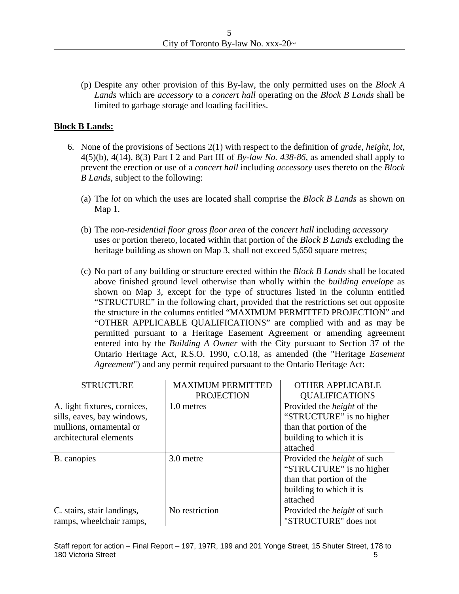(p) Despite any other provision of this By-law, the only permitted uses on the *Block A Lands* which are *accessory* to a *concert hall* operating on the *Block B Lands* shall be limited to garbage storage and loading facilities.

## **Block B Lands:**

- 6. None of the provisions of Sections 2(1) with respect to the definition of *grade*, *height*, *lot,* 4(5)(b), 4(14), 8(3) Part I 2 and Part III of *By-law No.438-86*, as amended shall apply to prevent the erection or use of a *concert hall* including *accessory* uses thereto on the *Block B Lands*, subject to the following:
	- (a) The *lot* on which the uses are located shall comprise the *Block B Lands* as shown on Map 1.
	- (b) The *non-residential floor gross floor area* of the *concert hall* including *accessory* uses or portion thereto, located within that portion of the *Block B Lands* excluding the heritage building as shown on Map 3, shall not exceed 5,650 square metres;
	- (c) No part of any building or structure erected within the *Block B Lands* shall be located above finished ground level otherwise than wholly within the *building envelope* as shown on Map 3, except for the type of structures listed in the column entitled "STRUCTURE" in the following chart, provided that the restrictions set out opposite the structure in the columns entitled "MAXIMUM PERMITTED PROJECTION" and "OTHER APPLICABLE QUALIFICATIONS" are complied with and as may be permitted pursuant to a Heritage Easement Agreement or amending agreement entered into by the *Building A Owner* with the City pursuant to Section 37 of the Ontario Heritage Act, R.S.O. 1990, c.O.18, as amended (the "Heritage *Easement Agreement*") and any permit required pursuant to the Ontario Heritage Act:

| STRUCTURE                    | <b>MAXIMUM PERMITTED</b> | <b>OTHER APPLICABLE</b>            |
|------------------------------|--------------------------|------------------------------------|
|                              | PROJECTION               | QUALIFICATIONS                     |
| A. light fixtures, cornices, | 1.0 metres               | Provided the <i>height</i> of the  |
| sills, eaves, bay windows,   |                          | "STRUCTURE" is no higher           |
| mullions, ornamental or      |                          | than that portion of the           |
| architectural elements       |                          | I building to which it is          |
|                              |                          | attached                           |
| B. canopies                  | 3.0 metre                | Provided the <i>height</i> of such |
|                              |                          | "STRUCTURE" is no higher           |
|                              |                          | than that portion of the           |
|                              |                          | I building to which it is          |
|                              |                          | attached                           |
| C. stairs, stair landings,   | No restriction           | Provided the <i>height</i> of such |
| amps, wheelchair ramps,      |                          | "STRUCTURE" does not               |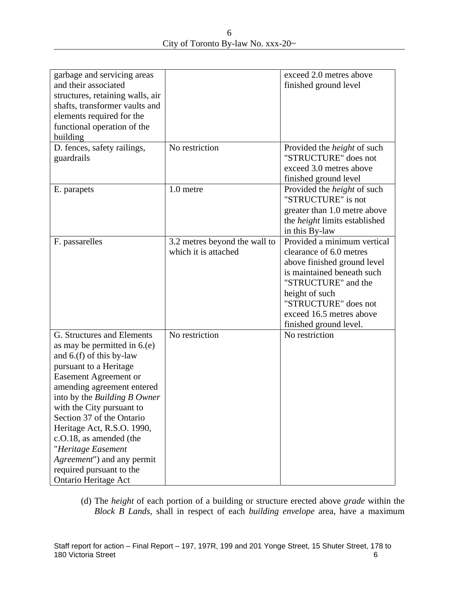6 City of Toronto By-law No. xxx-20~

| garbage and servicing areas      |                               | exceed 2.0 metres above              |
|----------------------------------|-------------------------------|--------------------------------------|
| and their associated             |                               | finished ground level                |
| structures, retaining walls, air |                               |                                      |
| shafts, transformer vaults and   |                               |                                      |
| elements required for the        |                               |                                      |
| functional operation of the      |                               |                                      |
| building                         |                               |                                      |
| D. fences, safety railings,      | No restriction                | Provided the <i>height</i> of such   |
| guardrails                       |                               | "STRUCTURE" does not                 |
|                                  |                               | exceed 3.0 metres above              |
|                                  |                               | finished ground level                |
| E. parapets                      | 1.0 metre                     | Provided the <i>height</i> of such   |
|                                  |                               | "STRUCTURE" is not                   |
|                                  |                               | greater than 1.0 metre above         |
|                                  |                               | the <i>height</i> limits established |
|                                  |                               | in this By-law                       |
| F. passarelles                   | 3.2 metres beyond the wall to | Provided a minimum vertical          |
|                                  | which it is attached          | clearance of 6.0 metres              |
|                                  |                               | above finished ground level          |
|                                  |                               | is maintained beneath such           |
|                                  |                               | "STRUCTURE" and the                  |
|                                  |                               | height of such                       |
|                                  |                               | "STRUCTURE" does not                 |
|                                  |                               |                                      |
|                                  |                               | exceed 16.5 metres above             |
|                                  |                               | finished ground level.               |
| G. Structures and Elements       | No restriction                | No restriction                       |
| as may be permitted in $6(e)$    |                               |                                      |
| and $6(f)$ of this by-law        |                               |                                      |
| pursuant to a Heritage           |                               |                                      |
| Easement Agreement or            |                               |                                      |
| amending agreement entered       |                               |                                      |
| into by the Building B Owner     |                               |                                      |
| with the City pursuant to        |                               |                                      |
| Section 37 of the Ontario        |                               |                                      |
| Heritage Act, R.S.O. 1990,       |                               |                                      |
| c.O.18, as amended (the          |                               |                                      |
| "Heritage Easement               |                               |                                      |
| Agreement") and any permit       |                               |                                      |
| required pursuant to the         |                               |                                      |
| Ontario Heritage Act             |                               |                                      |

(d) The *height* of each portion of a building or structure erected above *grade* within the *Block B Lands*, shall in respect of each *building envelope* area, have a maximum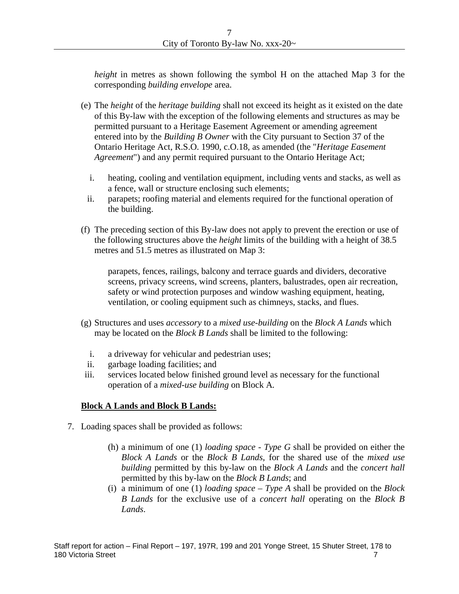*height* in metres as shown following the symbol H on the attached Map 3 for the corresponding *building envelope* area.

- (e) The *height* of the *heritage building* shall not exceed its height as it existed on the date of this By-law with the exception of the following elements and structures as may be permitted pursuant to a Heritage Easement Agreement or amending agreement entered into by the *Building B Owner* with the City pursuant to Section 37 of the Ontario Heritage Act, R.S.O. 1990, c.O.18, as amended (the "*Heritage Easement Agreement*") and any permit required pursuant to the Ontario Heritage Act;
	- i. heating, cooling and ventilation equipment, including vents and stacks, as well as a fence, wall or structure enclosing such elements;
	- ii. parapets; roofing material and elements required for the functional operation of the building.
- (f) The preceding section of this By-law does not apply to prevent the erection or use of the following structures above the *height* limits of the building with a height of 38.5 metres and 51.5 metres as illustrated on Map 3:

parapets, fences, railings, balcony and terrace guards and dividers, decorative screens, privacy screens, wind screens, planters, balustrades, open air recreation, safety or wind protection purposes and window washing equipment, heating, ventilation, or cooling equipment such as chimneys, stacks, and flues.

- (g) Structures and uses *accessory* to a *mixed use-building* on the *Block A Lands* which may be located on the *Block B Lands* shall be limited to the following:
	- i. a driveway for vehicular and pedestrian uses;
	- ii. garbage loading facilities; and
- iii. services located below finished ground level as necessary for the functional operation of a *mixed-use building* on Block A*.*

# **Block A Lands and Block B Lands:**

- 7. Loading spaces shall be provided as follows:
	- (h) a minimum of one (1) *loading space - Type G* shall be provided on either the *Block A Lands* or the *Block B Lands*, for the shared use of the *mixed use building* permitted by this by-law on the *Block A Lands* and the *concert hall* permitted by this by-law on the *Block B Lands*; and
	- (i) a minimum of one (1) *loading space – Type A* shall be provided on the *Block B Lands* for the exclusive use of a *concert hall* operating on the *Block B Lands*.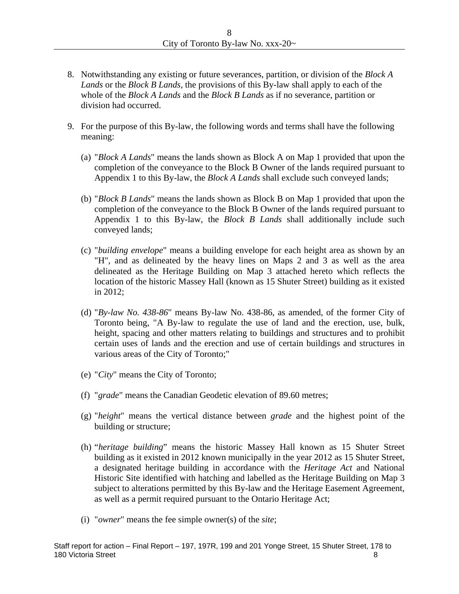- 8. Notwithstanding any existing or future severances, partition, or division of the *Block A Lands* or the *Block B Lands*, the provisions of this By-law shall apply to each of the whole of the *Block A Lands* and the *Block B Lands* as if no severance, partition or division had occurred.
- 9. For the purpose of this By-law, the following words and terms shall have the following meaning: the contract of the contract of the contract of the contract of the contract of the contract of the contract of the contract of the contract of the contract of the contract of the contract of the contract of the c
	- (a) "*Block A Lands*" means the lands shown as Block A on Map 1 provided that upon the completion of the conveyance to the Block B Owner of the lands required pursuant to Appendix 1 to this By-law, the *Block A Lands* shall exclude such conveyed lands;
	- (b) "*Block B Lands*" means the lands shown as Block B on Map 1 provided that upon the completion of the conveyance to the Block B Owner of the lands required pursuant to Appendix 1 to this By-law, the *Block B Lands* shall additionally include such conveyed lands;
	- (c) "*building envelope*" means a building envelope for each height area as shown by an "H", and as delineated by the heavy lines on Maps2 and 3 as well as the area delineated as the Heritage Building on Map 3 attached hereto which reflects the location of the historic Massey Hall (known as 15 Shuter Street) building as it existed in 2012;
	- (d) "*By-law No. 438-86*" means By-law No. 438-86, as amended, of the former City of Toronto being, "A By-law to regulate the use of land and the erection, use, bulk, height, spacing and other matters relating to buildings and structures and to prohibit certain uses of lands and the erection and use of certain buildings and structures in various areas of the City of Toronto;"
	- (e) "*City*" means the City of Toronto;
	- (f) "*grade*" means the Canadian Geodetic elevation of 89.60 metres;
	- (g) "*height*" means the vertical distance between *grade* and the highest point of the building or structure;
	- (h) "*heritage building*" means the historic Massey Hall known as 15 Shuter Street building as it existed in 2012 known municipally in the year 2012 as 15 Shuter Street, a designated heritage building in accordance with the *Heritage Act* and National Historic Site identified with hatching and labelled as the Heritage Building on Map 3 subject to alterations permitted by this By-law and the Heritage Easement Agreement, as well as a permit required pursuant to the Ontario Heritage Act;
	- (i) "*owner*" means the fee simple owner(s) of the *site*;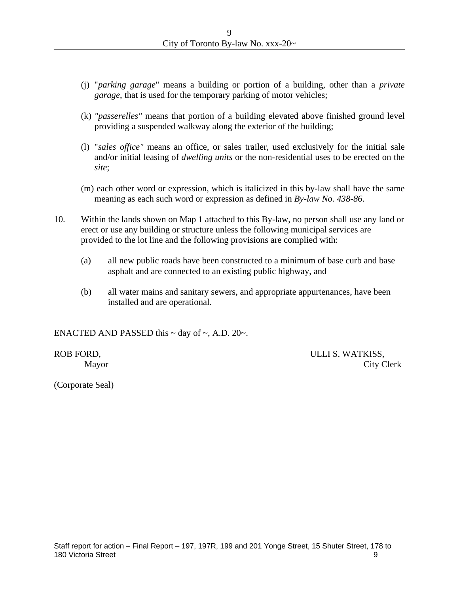- (j) "*parking garage*" means a building or portion of a building, other than a *private garage*, that is used for the temporary parking of motor vehicles;
- (k) *"passerelles"* means that portion of a building elevated above finished ground level providing a suspended walkway along the exterior of the building;
- (1) "sales office" means an office, or sales trailer, used exclusively for the initial sale and/or initial leasing of *dwelling units* or the non-residential uses to be erected on the *site*;
- (m) each other word or expression, which is italicized in this by-law shall have the same meaning as each such word or expression as defined in *By-law No. 438-86*.
- 10. Within the lands shown on Map 1 attached to this By-law, no person shall use any land or erect or use any building or structure unless the following municipal services are provided to the lot line and the following provisions are complied with:
	- (a) all new public roads have been constructed to a minimum of base curb and base asphalt and are connected to an existing public highway, and
	- (b) all water mains and sanitary sewers, and appropriate appurtenances, have been installed and are operational.

ENACTED AND PASSED this  $\sim$  day of  $\sim$ , A.D. 20 $\sim$ .

ROB FORD, ULLI S. WATKISS, Mayor City Clerk

(Corporate Seal)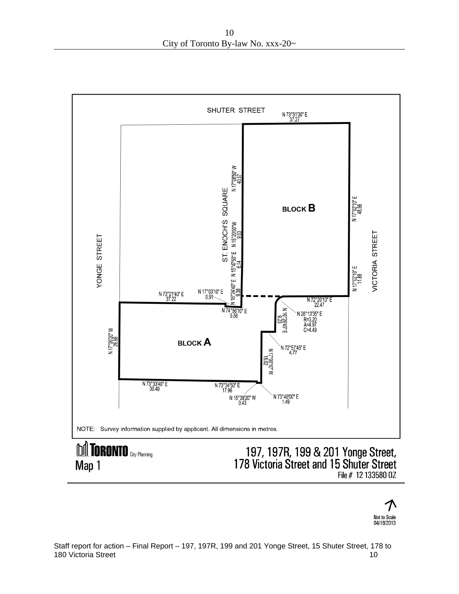

Not to Scale 04/18/2013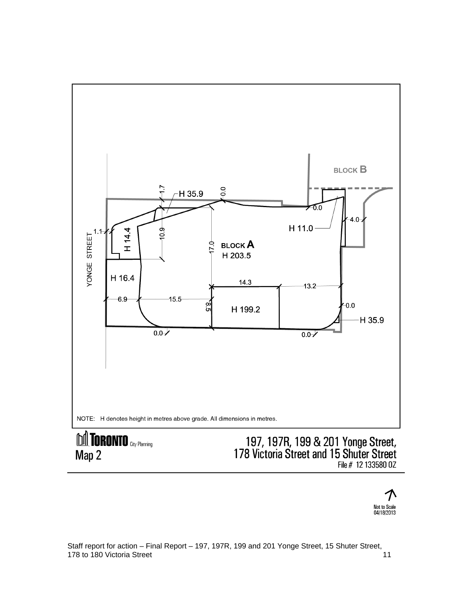

File # 12 133580 0Z

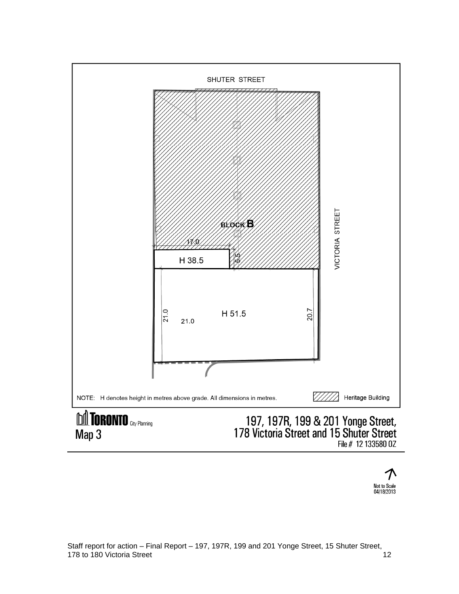

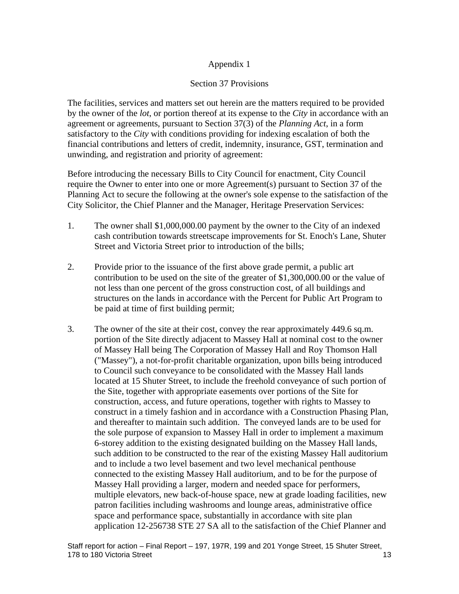# Appendix 1

# Section 37 Provisions

The facilities, services and matters set out herein are the matters required to be provided by the owner of the *lot*, or portion thereof at its expense to the *City* in accordance with an agreement or agreements, pursuant to Section 37(3) of the *Planning Act*, in a form satisfactory to the *City* with conditions providing for indexing escalation of both the financial contributions and letters of credit, indemnity, insurance, GST, termination and unwinding, and registration and priority of agreement:

Before introducing the necessary Bills to City Council for enactment, City Council require the Owner to enter into one or more Agreement(s) pursuant to Section 37 of the Planning Act to secure the following at the owner's sole expense to the satisfaction of the City Solicitor, the Chief Planner and the Manager, Heritage Preservation Services:

- 1. The owner shall \$1,000,000.00 payment by the owner to the City of an indexed cash contribution towards streetscape improvements for St. Enoch's Lane, Shuter Street and Victoria Street prior to introduction of the bills;
- 2. Provide prior to the issuance of the first above grade permit, a public art contribution to be used on the site of the greater of \$1,300,000.00 or the value of not less than one percent of the gross construction cost, of all buildings and structures on the lands in accordance with the Percent for Public Art Program to be paid at time of first building permit;
- 3. The owner of the site at their cost, convey the rear approximately 449.6 sq.m. portion of the Site directly adjacent to Massey Hall at nominal cost to the owner of Massey Hall being The Corporation of Massey Hall and Roy Thomson Hall ("Massey"), a not-for-profit charitable organization, upon bills being introduced to Council such conveyance to be consolidated with the Massey Hall lands located at 15 Shuter Street, to include the freehold conveyance of such portion of the Site, together with appropriate easements over portions of the Site for construction, access, and future operations, together with rights to Massey to construct in a timely fashion and in accordance with a Construction Phasing Plan, and thereafter to maintain such addition. The conveyed lands are to be used for the sole purpose of expansion to Massey Hall in order to implement a maximum 6-storey addition to the existing designated building on the Massey Hall lands, such addition to be constructed to the rear of the existing Massey Hall auditorium and to include a two level basement and two level mechanical penthouse connected to the existing Massey Hall auditorium, and to be for the purpose of Massey Hall providing a larger, modern and needed space for performers, multiple elevators, new back-of-house space, new at grade loading facilities, new patron facilities including washrooms and lounge areas, administrative office space and performance space, substantially in accordance with site plan application 12-256738 STE 27 SA all to the satisfaction of the Chief Planner and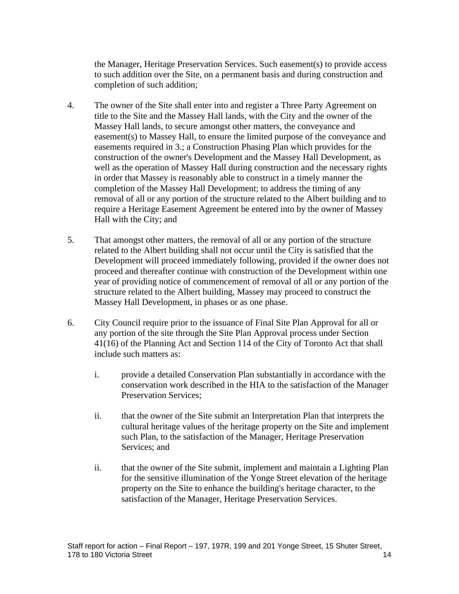the Manager, Heritage Preservation Services. Such easement(s) to provide access to such addition over the Site, on a permanent basis and during construction and completion of such addition;

- 4. The owner of the Site shall enter into and register a Three Party Agreement on title to the Site and the Massey Hall lands, with the City and the owner of the Massey Hall lands, to secure amongst other matters, the conveyance and easement(s) to Massey Hall, to ensure the limited purpose of the conveyance and easements required in 3.; a Construction Phasing Plan which provides for the construction of the owner's Development and the Massey Hall Development, as well as the operation of Massey Hall during construction and the necessary rights in order that Massey is reasonably able to construct in a timely manner the completion of the Massey Hall Development; to address the timing of any removal of all or any portion of the structure related to the Albert building and to require a Heritage Easement Agreement be entered into by the owner of Massey Hall with the City; and  $\blacksquare$
- 5. That amongst other matters, the removal of all or any portion of the structure related to the Albert building shall not occur until the City is satisfied that the Development will proceed immediately following, provided if the owner does not proceed and thereafter continue with construction of the Development within one year of providing notice of commencement of removal of all or any portion of the structure related to the Albert building, Massey may proceed to construct the Massey Hall Development, in phases or as one phase.
- 6. City Council require prior to the issuance of Final Site Plan Approval for all or any portion of the site through the Site Plan Approval process under Section 41(16) of the Planning Act and Section 114 of the City of Toronto Act that shall include such matters as:
	- i. provide a detailed Conservation Plan substantially in accordance with the conservation work described in the HIA to the satisfaction of the Manager Preservation Services;
	- ii. that the owner of the Site submit an Interpretation Plan that interprets the cultural heritage values of the heritage property on the Site and implement such Plan, to the satisfaction of the Manager, Heritage Preservation Services; and Services; and Services; and Services; and Services; and Services; and Services; and Services; and Services; and Services; and Services; and Services; and Services; and Services; and Services; and Services; an
	- ii. that the owner of the Site submit, implement and maintain a Lighting Plan for the sensitive illumination of the Yonge Street elevation of the heritage property on the Site to enhance the building's heritage character, to the satisfaction of the Manager, Heritage Preservation Services.